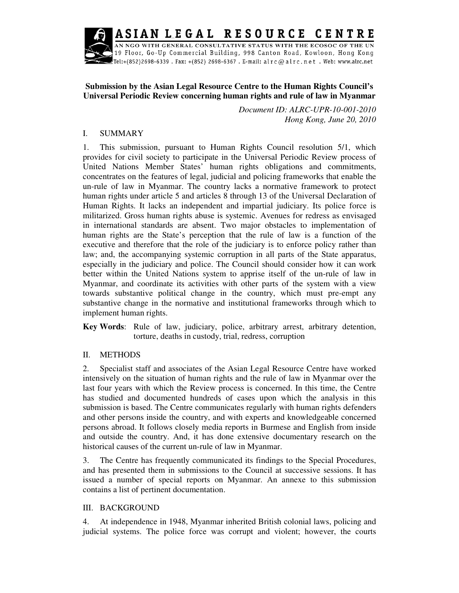**RESOURCE** ASIAN LEGAL CENTRE



.<br>AN NGO WITH GENERAL CONSULTATIVE STATUS WITH THE ECOSOC OF THE UN 19 Floor, Go-Up Commercial Building, 998 Canton Road, Kowloon, Hong Kong .<br>Tel:+(852)2698-6339 . Fax: +(852) 2698-6367 . E-mail: alrc@alrc.net . Web: www.alrc.net\_

# **Submission by the Asian Legal Resource Centre to the Human Rights Council's Universal Periodic Review concerning human rights and rule of law in Myanmar**

*Document ID: ALRC-UPR-10-001-2010 Hong Kong, June 20, 2010* 

#### I. SUMMARY

1. This submission, pursuant to Human Rights Council resolution 5/1, which provides for civil society to participate in the Universal Periodic Review process of United Nations Member States' human rights obligations and commitments, concentrates on the features of legal, judicial and policing frameworks that enable the un-rule of law in Myanmar. The country lacks a normative framework to protect human rights under article 5 and articles 8 through 13 of the Universal Declaration of Human Rights. It lacks an independent and impartial judiciary. Its police force is militarized. Gross human rights abuse is systemic. Avenues for redress as envisaged in international standards are absent. Two major obstacles to implementation of human rights are the State's perception that the rule of law is a function of the executive and therefore that the role of the judiciary is to enforce policy rather than law; and, the accompanying systemic corruption in all parts of the State apparatus, especially in the judiciary and police. The Council should consider how it can work better within the United Nations system to apprise itself of the un-rule of law in Myanmar, and coordinate its activities with other parts of the system with a view towards substantive political change in the country, which must pre-empt any substantive change in the normative and institutional frameworks through which to implement human rights.

**Key Words**: Rule of law, judiciary, police, arbitrary arrest, arbitrary detention, torture, deaths in custody, trial, redress, corruption

# II. METHODS

2. Specialist staff and associates of the Asian Legal Resource Centre have worked intensively on the situation of human rights and the rule of law in Myanmar over the last four years with which the Review process is concerned. In this time, the Centre has studied and documented hundreds of cases upon which the analysis in this submission is based. The Centre communicates regularly with human rights defenders and other persons inside the country, and with experts and knowledgeable concerned persons abroad. It follows closely media reports in Burmese and English from inside and outside the country. And, it has done extensive documentary research on the historical causes of the current un-rule of law in Myanmar.

3. The Centre has frequently communicated its findings to the Special Procedures, and has presented them in submissions to the Council at successive sessions. It has issued a number of special reports on Myanmar. An annexe to this submission contains a list of pertinent documentation.

#### III. BACKGROUND

4. At independence in 1948, Myanmar inherited British colonial laws, policing and judicial systems. The police force was corrupt and violent; however, the courts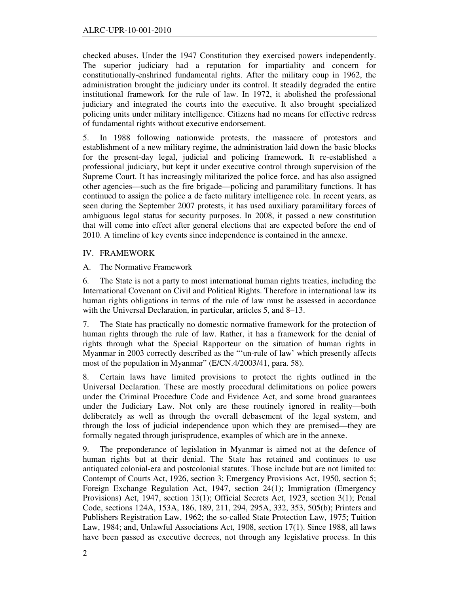checked abuses. Under the 1947 Constitution they exercised powers independently. The superior judiciary had a reputation for impartiality and concern for constitutionally-enshrined fundamental rights. After the military coup in 1962, the administration brought the judiciary under its control. It steadily degraded the entire institutional framework for the rule of law. In 1972, it abolished the professional judiciary and integrated the courts into the executive. It also brought specialized policing units under military intelligence. Citizens had no means for effective redress of fundamental rights without executive endorsement.

5. In 1988 following nationwide protests, the massacre of protestors and establishment of a new military regime, the administration laid down the basic blocks for the present-day legal, judicial and policing framework. It re-established a professional judiciary, but kept it under executive control through supervision of the Supreme Court. It has increasingly militarized the police force, and has also assigned other agencies—such as the fire brigade—policing and paramilitary functions. It has continued to assign the police a de facto military intelligence role. In recent years, as seen during the September 2007 protests, it has used auxiliary paramilitary forces of ambiguous legal status for security purposes. In 2008, it passed a new constitution that will come into effect after general elections that are expected before the end of 2010. A timeline of key events since independence is contained in the annexe.

# IV. FRAMEWORK

A. The Normative Framework

6. The State is not a party to most international human rights treaties, including the International Covenant on Civil and Political Rights. Therefore in international law its human rights obligations in terms of the rule of law must be assessed in accordance with the Universal Declaration, in particular, articles 5, and 8–13.

7. The State has practically no domestic normative framework for the protection of human rights through the rule of law. Rather, it has a framework for the denial of rights through what the Special Rapporteur on the situation of human rights in Myanmar in 2003 correctly described as the "'un-rule of law' which presently affects most of the population in Myanmar" (E/CN.4/2003/41, para. 58).

8. Certain laws have limited provisions to protect the rights outlined in the Universal Declaration. These are mostly procedural delimitations on police powers under the Criminal Procedure Code and Evidence Act, and some broad guarantees under the Judiciary Law. Not only are these routinely ignored in reality—both deliberately as well as through the overall debasement of the legal system, and through the loss of judicial independence upon which they are premised—they are formally negated through jurisprudence, examples of which are in the annexe.

9. The preponderance of legislation in Myanmar is aimed not at the defence of human rights but at their denial. The State has retained and continues to use antiquated colonial-era and postcolonial statutes. Those include but are not limited to: Contempt of Courts Act, 1926, section 3; Emergency Provisions Act, 1950, section 5; Foreign Exchange Regulation Act, 1947, section 24(1); Immigration (Emergency Provisions) Act, 1947, section 13(1); Official Secrets Act, 1923, section 3(1); Penal Code, sections 124A, 153A, 186, 189, 211, 294, 295A, 332, 353, 505(b); Printers and Publishers Registration Law, 1962; the so-called State Protection Law, 1975; Tuition Law, 1984; and, Unlawful Associations Act, 1908, section 17(1). Since 1988, all laws have been passed as executive decrees, not through any legislative process. In this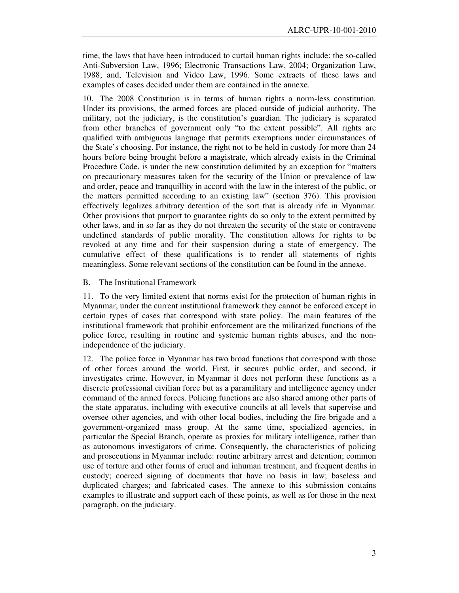time, the laws that have been introduced to curtail human rights include: the so-called Anti-Subversion Law, 1996; Electronic Transactions Law, 2004; Organization Law, 1988; and, Television and Video Law, 1996. Some extracts of these laws and examples of cases decided under them are contained in the annexe.

10. The 2008 Constitution is in terms of human rights a norm-less constitution. Under its provisions, the armed forces are placed outside of judicial authority. The military, not the judiciary, is the constitution's guardian. The judiciary is separated from other branches of government only "to the extent possible". All rights are qualified with ambiguous language that permits exemptions under circumstances of the State's choosing. For instance, the right not to be held in custody for more than 24 hours before being brought before a magistrate, which already exists in the Criminal Procedure Code, is under the new constitution delimited by an exception for "matters on precautionary measures taken for the security of the Union or prevalence of law and order, peace and tranquillity in accord with the law in the interest of the public, or the matters permitted according to an existing law" (section 376). This provision effectively legalizes arbitrary detention of the sort that is already rife in Myanmar. Other provisions that purport to guarantee rights do so only to the extent permitted by other laws, and in so far as they do not threaten the security of the state or contravene undefined standards of public morality. The constitution allows for rights to be revoked at any time and for their suspension during a state of emergency. The cumulative effect of these qualifications is to render all statements of rights meaningless. Some relevant sections of the constitution can be found in the annexe.

#### B. The Institutional Framework

11. To the very limited extent that norms exist for the protection of human rights in Myanmar, under the current institutional framework they cannot be enforced except in certain types of cases that correspond with state policy. The main features of the institutional framework that prohibit enforcement are the militarized functions of the police force, resulting in routine and systemic human rights abuses, and the nonindependence of the judiciary.

12. The police force in Myanmar has two broad functions that correspond with those of other forces around the world. First, it secures public order, and second, it investigates crime. However, in Myanmar it does not perform these functions as a discrete professional civilian force but as a paramilitary and intelligence agency under command of the armed forces. Policing functions are also shared among other parts of the state apparatus, including with executive councils at all levels that supervise and oversee other agencies, and with other local bodies, including the fire brigade and a government-organized mass group. At the same time, specialized agencies, in particular the Special Branch, operate as proxies for military intelligence, rather than as autonomous investigators of crime. Consequently, the characteristics of policing and prosecutions in Myanmar include: routine arbitrary arrest and detention; common use of torture and other forms of cruel and inhuman treatment, and frequent deaths in custody; coerced signing of documents that have no basis in law; baseless and duplicated charges; and fabricated cases. The annexe to this submission contains examples to illustrate and support each of these points, as well as for those in the next paragraph, on the judiciary.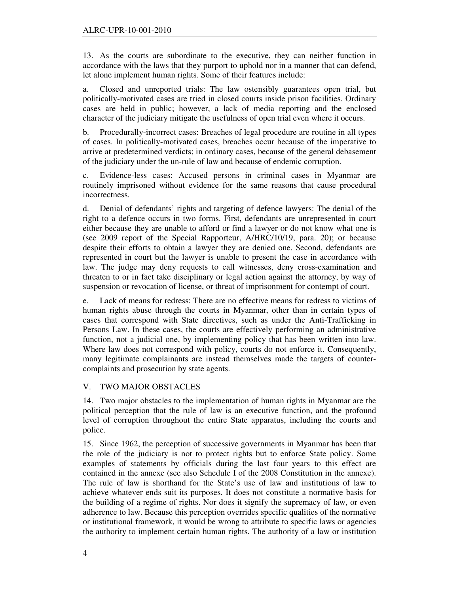13. As the courts are subordinate to the executive, they can neither function in accordance with the laws that they purport to uphold nor in a manner that can defend, let alone implement human rights. Some of their features include:

a. Closed and unreported trials: The law ostensibly guarantees open trial, but politically-motivated cases are tried in closed courts inside prison facilities. Ordinary cases are held in public; however, a lack of media reporting and the enclosed character of the judiciary mitigate the usefulness of open trial even where it occurs.

b. Procedurally-incorrect cases: Breaches of legal procedure are routine in all types of cases. In politically-motivated cases, breaches occur because of the imperative to arrive at predetermined verdicts; in ordinary cases, because of the general debasement of the judiciary under the un-rule of law and because of endemic corruption.

c. Evidence-less cases: Accused persons in criminal cases in Myanmar are routinely imprisoned without evidence for the same reasons that cause procedural incorrectness.

d. Denial of defendants' rights and targeting of defence lawyers: The denial of the right to a defence occurs in two forms. First, defendants are unrepresented in court either because they are unable to afford or find a lawyer or do not know what one is (see 2009 report of the Special Rapporteur, A/HRC/10/19, para. 20); or because despite their efforts to obtain a lawyer they are denied one. Second, defendants are represented in court but the lawyer is unable to present the case in accordance with law. The judge may deny requests to call witnesses, deny cross-examination and threaten to or in fact take disciplinary or legal action against the attorney, by way of suspension or revocation of license, or threat of imprisonment for contempt of court.

e. Lack of means for redress: There are no effective means for redress to victims of human rights abuse through the courts in Myanmar, other than in certain types of cases that correspond with State directives, such as under the Anti-Trafficking in Persons Law. In these cases, the courts are effectively performing an administrative function, not a judicial one, by implementing policy that has been written into law. Where law does not correspond with policy, courts do not enforce it. Consequently, many legitimate complainants are instead themselves made the targets of countercomplaints and prosecution by state agents.

# V. TWO MAJOR OBSTACLES

14. Two major obstacles to the implementation of human rights in Myanmar are the political perception that the rule of law is an executive function, and the profound level of corruption throughout the entire State apparatus, including the courts and police.

15. Since 1962, the perception of successive governments in Myanmar has been that the role of the judiciary is not to protect rights but to enforce State policy. Some examples of statements by officials during the last four years to this effect are contained in the annexe (see also Schedule I of the 2008 Constitution in the annexe). The rule of law is shorthand for the State's use of law and institutions of law to achieve whatever ends suit its purposes. It does not constitute a normative basis for the building of a regime of rights. Nor does it signify the supremacy of law, or even adherence to law. Because this perception overrides specific qualities of the normative or institutional framework, it would be wrong to attribute to specific laws or agencies the authority to implement certain human rights. The authority of a law or institution